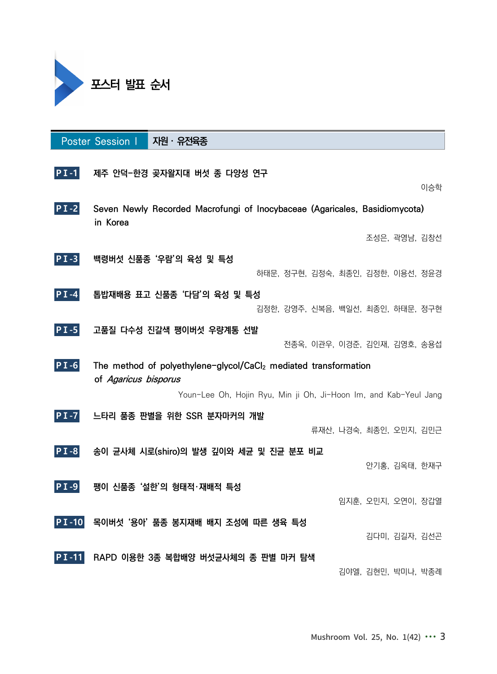

|              | Poster Session I                                                 | $\overline{R}$ 권 · 유전육종                                                     |                                   |                              |  |                         |               |     |
|--------------|------------------------------------------------------------------|-----------------------------------------------------------------------------|-----------------------------------|------------------------------|--|-------------------------|---------------|-----|
| $PI-1$       |                                                                  | 제주 안덕-한경 곶자왈지대 버섯 종 다양성 연구                                                  |                                   |                              |  |                         |               | 이승학 |
|              |                                                                  |                                                                             |                                   |                              |  |                         |               |     |
| $PI-2$       |                                                                  | Seven Newly Recorded Macrofungi of Inocybaceae (Agaricales, Basidiomycota)  |                                   |                              |  |                         |               |     |
|              | in Korea                                                         |                                                                             |                                   |                              |  |                         |               |     |
|              |                                                                  |                                                                             |                                   |                              |  |                         | 조성은, 곽영남, 김창선 |     |
| $PI-3$       |                                                                  | 백령버섯 신품종 '우람'의 육성 및 특성                                                      |                                   |                              |  |                         |               |     |
|              |                                                                  |                                                                             | 하태문, 정구현, 김정숙, 최종인, 김정한, 이용선, 정윤경 |                              |  |                         |               |     |
| $ PI -4 $    |                                                                  | 톱밥재배용 표고 신품종 '다담'의 육성 및 특성                                                  |                                   |                              |  |                         |               |     |
|              |                                                                  |                                                                             | 김정한, 강영주, 신복음, 백일선, 최종인, 하태문, 정구현 |                              |  |                         |               |     |
| $PI - 5$     |                                                                  | 고품질 다수성 진갈색 팽이버섯 우량계통 선발                                                    |                                   |                              |  |                         |               |     |
|              |                                                                  |                                                                             |                                   | 전종옥, 이관우, 이경준, 김인재, 김영호, 송용섭 |  |                         |               |     |
| $PI-6$       | of Agaricus bisporus                                             | The method of polyethylene-glycol/CaCl <sub>2</sub> mediated transformation |                                   |                              |  |                         |               |     |
|              | Youn-Lee Oh, Hojin Ryu, Min ji Oh, Ji-Hoon Im, and Kab-Yeul Jang |                                                                             |                                   |                              |  |                         |               |     |
| $PI -7$      |                                                                  | 느타리 품종 판별을 위한 SSR 분자마커의 개발                                                  |                                   |                              |  |                         |               |     |
|              |                                                                  |                                                                             |                                   |                              |  | 류재산, 나경숙, 최종인, 오민지, 김민근 |               |     |
| $PI-8$       |                                                                  | 송이 균사체 시로(shiro)의 발생 깊이와 세균 및 진균 분포 비교                                      |                                   |                              |  |                         |               |     |
|              |                                                                  |                                                                             |                                   |                              |  |                         | 안기홍, 김옥태, 한재구 |     |
|              |                                                                  |                                                                             |                                   |                              |  |                         |               |     |
| $ PI - 9 $   |                                                                  | 팽이 신품종 '설한'의 형태적·재배적 특성                                                     |                                   |                              |  |                         |               |     |
|              |                                                                  |                                                                             |                                   |                              |  | 임지훈, 오민지, 오연이, 장갑열      |               |     |
| <b>PI-10</b> |                                                                  | 목이버섯 '용아' 품종 봉지재배 배지 조성에 따른 생육 특성                                           |                                   |                              |  |                         |               |     |
|              |                                                                  |                                                                             |                                   |                              |  |                         | 김다미, 김길자, 김선곤 |     |
| PI-11        |                                                                  | RAPD 이용한 3종 복합배양 버섯균사체의 종 판별 마커 탐색                                          |                                   |                              |  |                         |               |     |
|              |                                                                  |                                                                             |                                   |                              |  | 김야엘, 김현민, 박미나, 박종례      |               |     |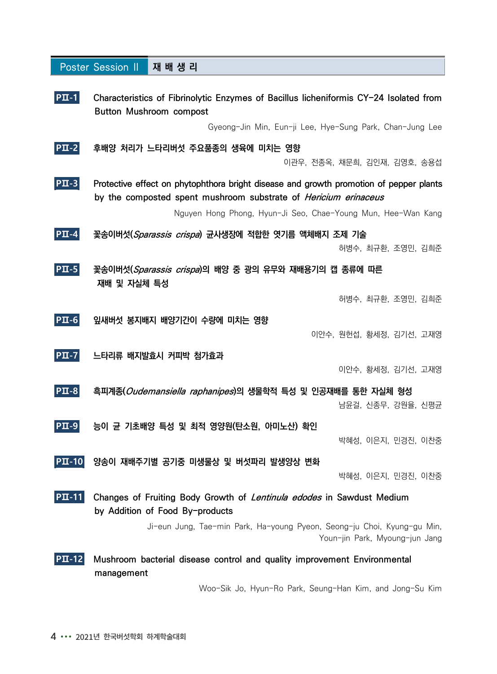|                                                  | <b>Poster Session II</b>                                 | 재배생리                                                                                                                                                      |                                                              |  |  |
|--------------------------------------------------|----------------------------------------------------------|-----------------------------------------------------------------------------------------------------------------------------------------------------------|--------------------------------------------------------------|--|--|
| PII-1                                            |                                                          | Characteristics of Fibrinolytic Enzymes of Bacillus licheniformis CY-24 Isolated from<br>Button Mushroom compost                                          |                                                              |  |  |
|                                                  |                                                          |                                                                                                                                                           | Gyeong-Jin Min, Eun-ji Lee, Hye-Sung Park, Chan-Jung Lee     |  |  |
| $ PII-2 $                                        |                                                          | 후배양 처리가 느타리버섯 주요품종의 생육에 미치는 영향                                                                                                                            | 이관우, 전종옥, 채문희, 김인재, 김영호, 송용섭                                 |  |  |
| $\left  \mathbf{P}\mathbf{\Pi }\text{-3}\right $ |                                                          | Protective effect on phytophthora bright disease and growth promotion of pepper plants<br>by the composted spent mushroom substrate of Hericium erinaceus |                                                              |  |  |
|                                                  |                                                          |                                                                                                                                                           | Nguyen Hong Phong, Hyun-Ji Seo, Chae-Young Mun, Hee-Wan Kang |  |  |
| $PII-4$                                          |                                                          | 꽃송이버섯( <i>Sparassis crispa</i> ) 균사생장에 적합한 엿기름 액체배지 조제 기술                                                                                                 | 허병수, 최규환, 조영민, 김희준                                           |  |  |
| $ PII-5 $                                        | 재배 및 자실체 특성                                              | 꽃송이버섯(Sparassis crispa)의 배양 중 광의 유무와 재배용기의 캡 종류에 따른                                                                                                       |                                                              |  |  |
|                                                  |                                                          |                                                                                                                                                           | 허병수, 최규환, 조영민, 김희준                                           |  |  |
| $ PII-6 $                                        |                                                          | 잎새버섯 봉지배지 배양기간이 수량에 미치는 영향                                                                                                                                | 이안수, 원헌섭, 황세정, 김기선, 고재영                                      |  |  |
| $ PII-7 $                                        |                                                          | 느타리류 배지발효시 커피박 첨가효과                                                                                                                                       |                                                              |  |  |
|                                                  |                                                          |                                                                                                                                                           | 이안수, 황세정, 김기선, 고재영                                           |  |  |
| $ PII-8 $                                        |                                                          | 흑피계종( <i>Oudemansiella raphanipes</i> )의 생물학적 특성 및 인공재배를 통한 자실체 형성                                                                                        | 남윤걸, 신종무, 강원율, 신평균                                           |  |  |
| $\mathbf{P}\mathbf{\Pi}$ -9                      |                                                          | 능이 균 기초배양 특성 및 최적 영양원(탄소원, 아미노산) 확인                                                                                                                       |                                                              |  |  |
|                                                  |                                                          |                                                                                                                                                           | 박혜성, 이은지, 민경진, 이찬중                                           |  |  |
| $\left  \mathbf{P}\mathbf{\Pi}$ -10              |                                                          | 양송이 재배주기별 공기중 미생물상 및 버섯파리 발생양상 변화                                                                                                                         |                                                              |  |  |
|                                                  |                                                          |                                                                                                                                                           | 박혜성, 이은지, 민경진, 이찬중                                           |  |  |
| $ PII-11 $                                       |                                                          | Changes of Fruiting Body Growth of <i>Lentinula edodes</i> in Sawdust Medium<br>by Addition of Food By-products                                           |                                                              |  |  |
|                                                  |                                                          | Ji-eun Jung, Tae-min Park, Ha-young Pyeon, Seong-ju Choi, Kyung-gu Min,                                                                                   | Youn-jin Park, Myoung-jun Jang                               |  |  |
| РШ-12.                                           | management                                               | Mushroom bacterial disease control and quality improvement Environmental                                                                                  |                                                              |  |  |
|                                                  | Woo-Sik Jo, Hyun-Ro Park, Seung-Han Kim, and Jong-Su Kim |                                                                                                                                                           |                                                              |  |  |